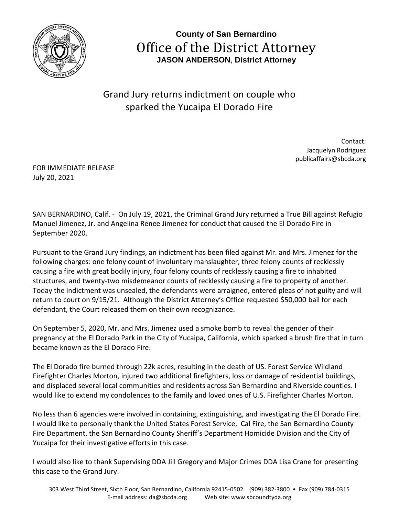

**County of San Bernardino** Office of the District Attorney **JASON ANDERSON**, **District Attorney**

Grand Jury returns indictment on couple who sparked the Yucaipa El Dorado Fire

> Contact: Jacquelyn Rodriguez publicaffairs@sbcda.org

FOR IMMEDIATE RELEASE July 20, 2021

SAN BERNARDINO, Calif. - On July 19, 2021, the Criminal Grand Jury returned a True Bill against Refugio Manuel Jimenez, Jr. and Angelina Renee Jimenez for conduct that caused the El Dorado Fire in September 2020.

Pursuant to the Grand Jury findings, an indictment has been filed against Mr. and Mrs. Jimenez for the following charges: one felony count of involuntary manslaughter, three felony counts of recklessly causing a fire with great bodily injury, four felony counts of recklessly causing a fire to inhabited structures, and twenty-two misdemeanor counts of recklessly causing a fire to property of another. Today the indictment was unsealed, the defendants were arraigned, entered pleas of not guilty and will return to court on 9/15/21. Although the District Attorney's Office requested \$50,000 bail for each defendant, the Court released them on their own recognizance.

On September 5, 2020, Mr. and Mrs. Jimenez used a smoke bomb to reveal the gender of their pregnancy at the El Dorado Park in the City of Yucaipa, California, which sparked a brush fire that in turn became known as the El Dorado Fire.

The El Dorado fire burned through 22k acres, resulting in the death of US. Forest Service Wildland Firefighter Charles Morton, injured two additional firefighters, loss or damage of residential buildings, and displaced several local communities and residents across San Bernardino and Riverside counties. I would like to extend my condolences to the family and loved ones of U.S. Firefighter Charles Morton.

No less than 6 agencies were involved in containing, extinguishing, and investigating the El Dorado Fire. I would like to personally thank the United States Forest Service, Cal Fire, the San Bernardino County Fire Department, the San Bernardino County Sheriff's Department Homicide Division and the City of Yucaipa for their investigative efforts in this case.

I would also like to thank Supervising DDA Jill Gregory and Major Crimes DDA Lisa Crane for presenting this case to the Grand Jury.